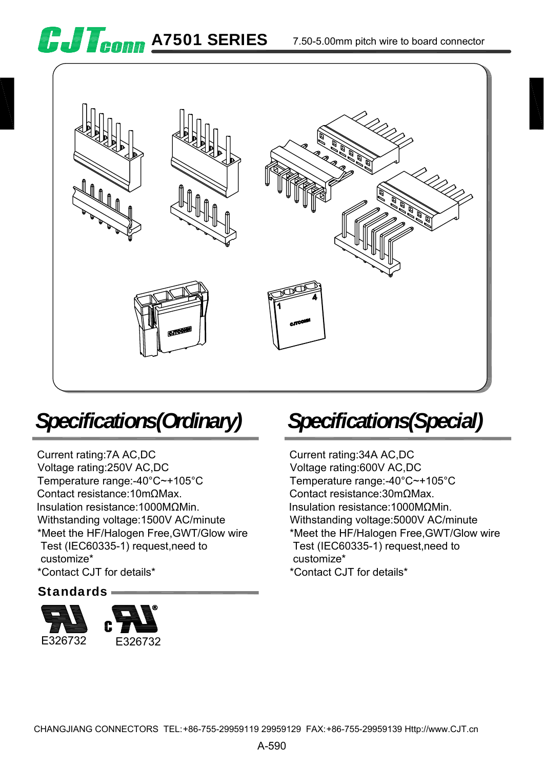





# *Specifications(Ordinary)*

Current rating:7A AC,DC Voltage rating:250V AC,DC Temperature range:-40°C~+105°C Contact resistance:10mΩMax. Insulation resistance:1000MΩMin. Withstanding voltage:1500V AC/minute \*Meet the HF/Halogen Free,GWT/Glow wire Test (IEC60335-1) request,need to customize\* \*Contact CJT for details\*

### Standards



### *Specifications(Special)*

Current rating:34A AC,DC Voltage rating:600V AC,DC Temperature range:-40°C~+105°C Contact resistance:30mΩMax. Insulation resistance:1000MΩMin. Withstanding voltage:5000V AC/minute \*Meet the HF/Halogen Free,GWT/Glow wire Test (IEC60335-1) request,need to customize\* \*Contact CJT for details\*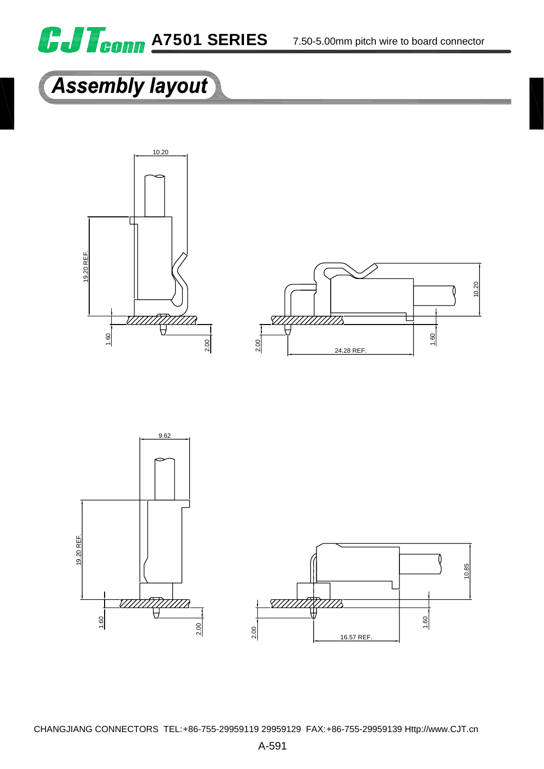

#### 7.50-5.00mm pitch wire to board connector

# **Assembly layout**





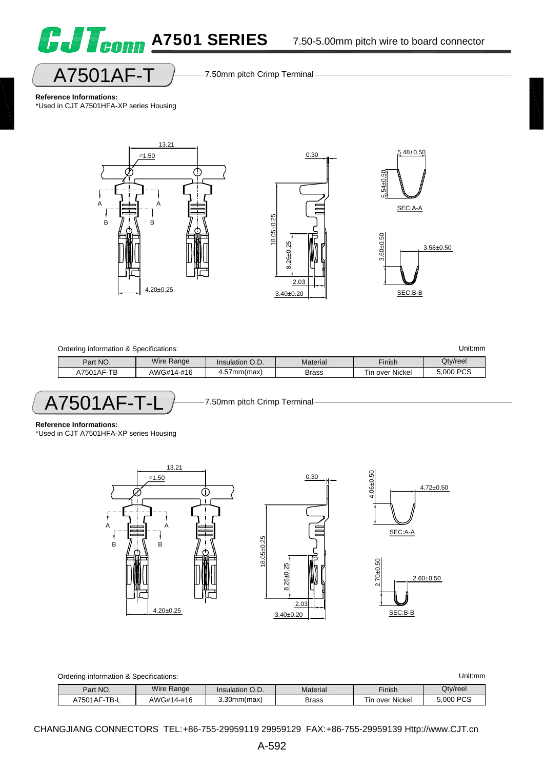



**Reference Informations:** \*Used in CJT A7501HFA-XP series Housing



| Ordering information & Specifications: |  |            |                   |              |                 | Unit:mm   |
|----------------------------------------|--|------------|-------------------|--------------|-----------------|-----------|
| Part NO.                               |  | Wire Range | Insulation O.D.   | Material     | Finish          | Qty/reel  |
| A7501AF-TB                             |  | AWG#14-#16 | $4.57$ mm $(max)$ | <b>Brass</b> | Tin over Nickel | 5,000 PCS |
|                                        |  |            |                   |              |                 |           |

 $A7501AF-T-L$  7.50mm pitch Crimp Terminal

**Reference Informations:**

\*Used in CJT A7501HFA-XP series Housing



| Ordering information & Specifications: |            |                   |              |                 | Unit:mm   |
|----------------------------------------|------------|-------------------|--------------|-----------------|-----------|
| Part NO.                               | Wire Range | Insulation O.D.   | Material     | Finish          | Qtv/reel  |
| A7501AF-TB-L                           | AWG#14-#16 | $3.30$ mm $(max)$ | <b>Brass</b> | Tin over Nickel | 5,000 PCS |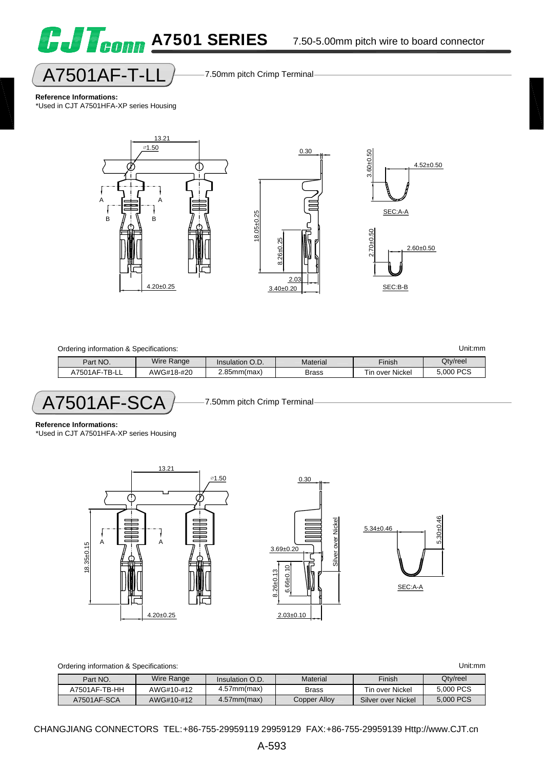

5.30±0.46

 $5.30 + 0.46$ 



A7501AF-T-LL 7.50mm pitch Crimp Terminal

**Reference Informations:**

\*Used in CJT A7501HFA-XP series Housing



| Unit:mm<br>Ordering information & Specifications: |            |                   |              |                 |           |
|---------------------------------------------------|------------|-------------------|--------------|-----------------|-----------|
| Part NO.                                          | Wire Range | Insulation O.D.   | Material     | Finish          | Qtv/reel  |
| A7501AF-TB-LL                                     | AWG#18-#20 | $2.85$ mm $(max)$ | <b>Brass</b> | Tin over Nickel | 5,000 PCS |
|                                                   |            |                   |              |                 |           |

A7501AF-SCA 7.50mm pitch Crimp Terminal

**Reference Informations:**

\*Used in CJT A7501HFA-XP series Housing



| Ordering information & ' | : Specifications:    |            |          |        | Unit:mm  |
|--------------------------|----------------------|------------|----------|--------|----------|
| Dort NC                  | <b>Miro</b><br>Ranna | Inequality | Motorial | Einich | Oty/reel |

| Part NO.      | Wire Range | Insulation O.D.   | Material     | Finish             | Qtv/reel  |
|---------------|------------|-------------------|--------------|--------------------|-----------|
| A7501AF-TB-HH | AWG#10-#12 | $4.57$ mm $(max)$ | Brass        | Tin over Nickel    | 5,000 PCS |
| A7501AF-SCA   | AWG#10-#12 | $4.57$ mm $(max)$ | Copper Alloy | Silver over Nickel | 5,000 PCS |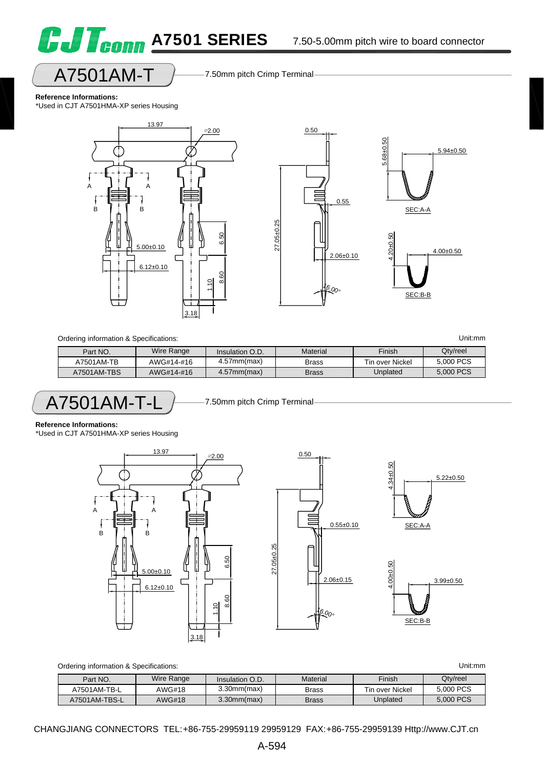

### A7501AM-T 7.50mm pitch Crimp Terminal

#### **Reference Informations:**

\*Used in CJT A7501HMA-XP series Housing





| Ordering information & Specifications: |            |                   |              |                 | Unit:mm   |
|----------------------------------------|------------|-------------------|--------------|-----------------|-----------|
| Part NO.                               | Wire Range | Insulation O.D.   | Material     | Finish          | Qtv/reel  |
| A7501AM-TB                             | AWG#14-#16 | $4.57$ mm $(max)$ | <b>Brass</b> | Tin over Nickel | 5,000 PCS |
| A7501AM-TBS                            | AWG#14-#16 | $4.57$ mm $(max)$ | <b>Brass</b> | Unplated        | 5,000 PCS |

A7501AM-T-L 7.50mm pitch Crimp Terminal

**Reference Informations:**

\*Used in CJT A7501HMA-XP series Housing





| Ordering information & Specifications: |            |                   |              |                 | Unit:mm   |
|----------------------------------------|------------|-------------------|--------------|-----------------|-----------|
| Part NO.                               | Wire Range | Insulation O.D.   | Material     | Finish          | Qtv/reel  |
| A7501AM-TB-L                           | AWG#18     | $3.30$ mm $(max)$ | <b>Brass</b> | Tin over Nickel | 5,000 PCS |
| A7501AM-TBS-L                          | AWG#18     | $3.30$ mm $(max)$ | <b>Brass</b> | Unplated        | 5,000 PCS |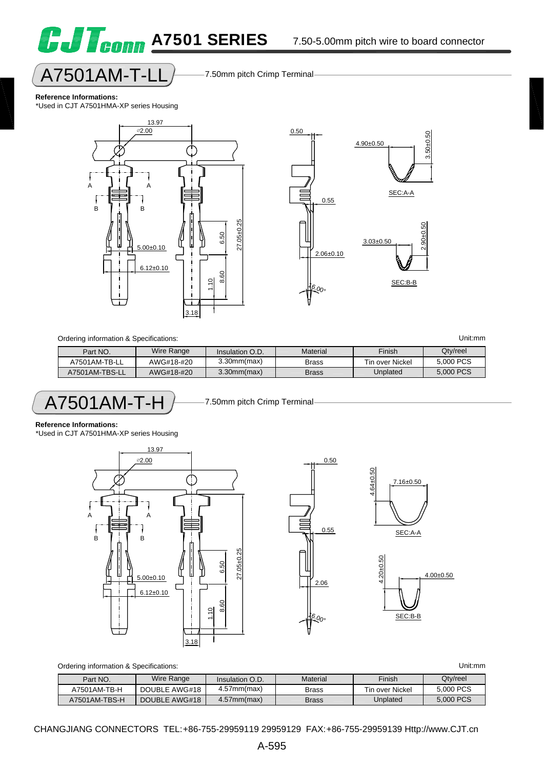

#### **Reference Informations:**

\*Used in CJT A7501HMA-XP series Housing



**G.J T<sub>conn</sub> A7501 SERIES** 



| Ordering information & Specifications: |            |                   |              |                 |           |
|----------------------------------------|------------|-------------------|--------------|-----------------|-----------|
| Part NO.                               | Wire Range | Insulation O.D.   | Material     | <b>Finish</b>   | Qty/reel  |
| A7501AM-TB-LL                          | AWG#18-#20 | $3.30$ mm $(max)$ | <b>Brass</b> | Tin over Nickel | 5,000 PCS |
| A7501AM-TBS-LL                         | AWG#18-#20 | $3.30$ mm $(max)$ | <b>Brass</b> | Unplated        | 5,000 PCS |

$$
\fbox{A7501AM-T-H}
$$

7.50mm pitch Crimp Terminal

#### **Reference Informations:**

\*Used in CJT A7501HMA-XP series Housing





| Unit:mm |  |  |
|---------|--|--|
|         |  |  |
|         |  |  |

|               | Ordering information & Specifications: |                   |              |                 | Unit:mm   |
|---------------|----------------------------------------|-------------------|--------------|-----------------|-----------|
| Part NO.      | Wire Range                             | Insulation O.D.   | Material     | Finish          | Qty/reel  |
| A7501AM-TB-H  | DOUBLE AWG#18                          | $4.57$ mm $(max)$ | <b>Brass</b> | Tin over Nickel | 5,000 PCS |
| A7501AM-TBS-H | DOUBLE AWG#18                          | $4.57$ mm $(max)$ | <b>Brass</b> | Unplated        | 5,000 PCS |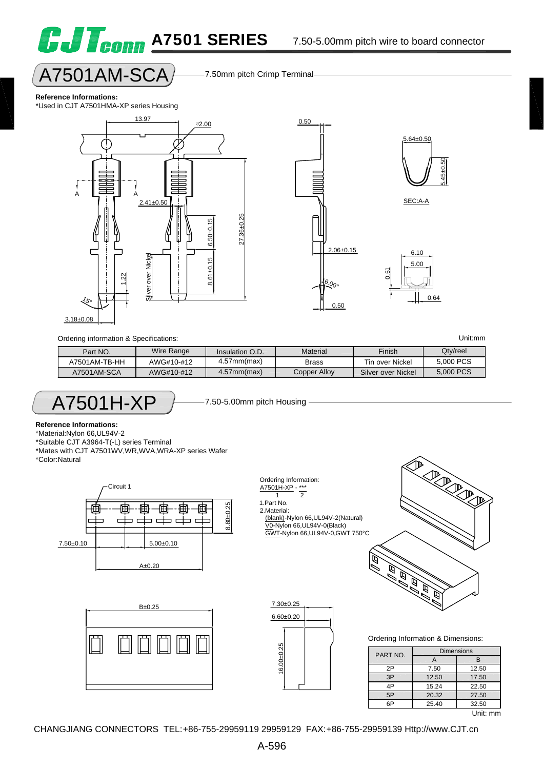### $A7501AM-SCA$  7.50mm pitch Crimp Terminal

#### **Reference Informations:**

\*Used in CJT A7501HMA-XP series Housing



**G.J Toonn A7501 SERIES** 



Ordering information & Specifications: Unit:mm

| Part NO.      | Wire Range | Insulation O.D.   | Material     | Finish             | Qtv/reel  |
|---------------|------------|-------------------|--------------|--------------------|-----------|
| A7501AM-TB-HH | AWG#10-#12 | $4.57$ mm $(max)$ | <b>Brass</b> | Tin over Nickel    | 5,000 PCS |
| A7501AM-SCA   | AWG#10-#12 | $4.57$ mm $(max)$ | Copper Alloy | Silver over Nickel | 5,000 PCS |

Ordering Information: A7501H-XP - \*\*\* 1 2 1.Part No. 2.Material:

 (blank)-Nylon 66,UL94V-2(Natural) V0-Nylon 66,UL94V-0(Black) GWT-Nylon 66,UL94V-0,GWT 750°C

$$
\sf A7501H\text{-}XP
$$

7.50-5.00mm pitch Housing

#### **Reference Informations:**

\*Material:Nylon 66,UL94V-2

\*Suitable CJT A3964-T(-L) series Terminal \*Mates with CJT A7501WV,WR,WVA,WRA-XP series Wafer \*Color:Natural







**PARADICAL** Ŕ  $\widehat{\mathbb{F}}$ Ø Ę Ŕ Ø

Ordering Information & Dimensions:

| PART NO. | <b>Dimensions</b> |          |
|----------|-------------------|----------|
|          | А                 | R        |
| 2P       | 7.50              | 12.50    |
| 3P       | 12.50             | 17.50    |
| 4P       | 15.24             | 22.50    |
| 5P       | 20.32             | 27.50    |
| 6P       | 25.40             | 32.50    |
|          |                   | .<br>. . |

Unit: mm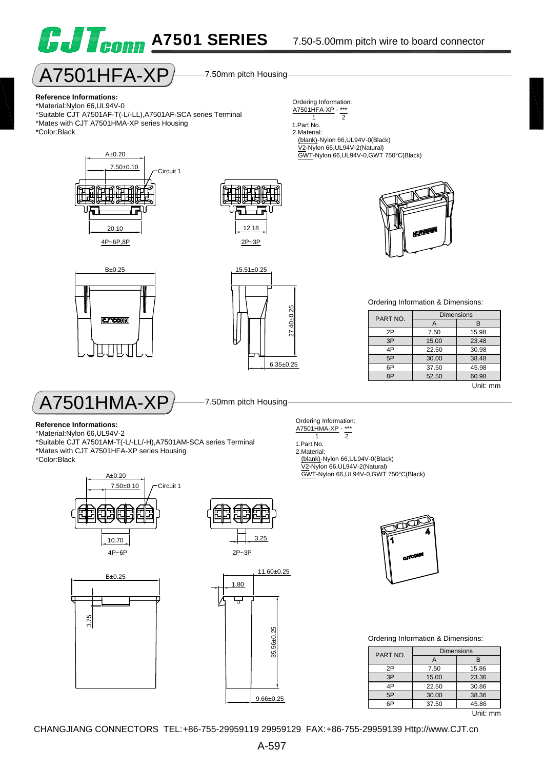

 $\overline{A7501}$ HFA-XP $\overline{P}$  7.50mm pitch Housing



#### **Reference Informations:**

\*Material:Nylon 66,UL94V-0 \*Suitable CJT A7501AF-T(-L/-LL),A7501AF-SCA series Terminal \*Mates with CJT A7501HMA-XP series Housing \*Color:Black



#### 1.Part No.

2.Material: (blank)-Nylon 66,UL94V-0(Black) V2-Nylon 66,UL94V-2(Natural) GWT-Nylon 66,UL94V-0,GWT 750°C(Black)



 $A_{\pm}0.20$ 



15.51±0.25

 $6.35 \pm 0.25$ <br> $+ 27.40 \pm 0.25$ 





#### **Reference Informations:**

\*Material:Nylon 66,UL94V-2 \*Suitable CJT A7501AM-T(-L/-LL/-H),A7501AM-SCA series Terminal \*Mates with CJT A7501HFA-XP series Housing \*Color:Black

> 7.50±0.10  $A\pm0.20$ Circuit 1









#### Ordering Information & Dimensions:

| PART NO. | <b>Dimensions</b> |          |
|----------|-------------------|----------|
|          |                   | в        |
| 2P       | 7.50              | 15.98    |
| 3P       | 15.00             | 23.48    |
| 4P       | 22.50             | 30.98    |
| 5P       | 30.00             | 38.48    |
| 6P       | 37.50             | 45.98    |
| 8P       | 52.50             | 60.98    |
|          |                   | Unit: mm |

Ordering Information:  $\frac{A7501HMA-XP}{1}$  - \*\*\* 1 2 1.Part No. 2.Material: (blank)-Nylon 66,UL94V-0(Black)

 V2-Nylon 66,UL94V-2(Natural) GWT-Nylon 66,UL94V-0,GWT 750°C(Black)



#### Ordering Information & Dimensions:

| PART NO. | <b>Dimensions</b> |       |
|----------|-------------------|-------|
|          | А                 | R     |
| 2P       | 7.50              | 15.86 |
| 3P       | 15.00             | 23.36 |
| 4P       | 22.50             | 30.86 |
| 5P       | 30.00             | 38.36 |
|          | 37.50             | 45.86 |
|          |                   |       |

Unit: mm

1 2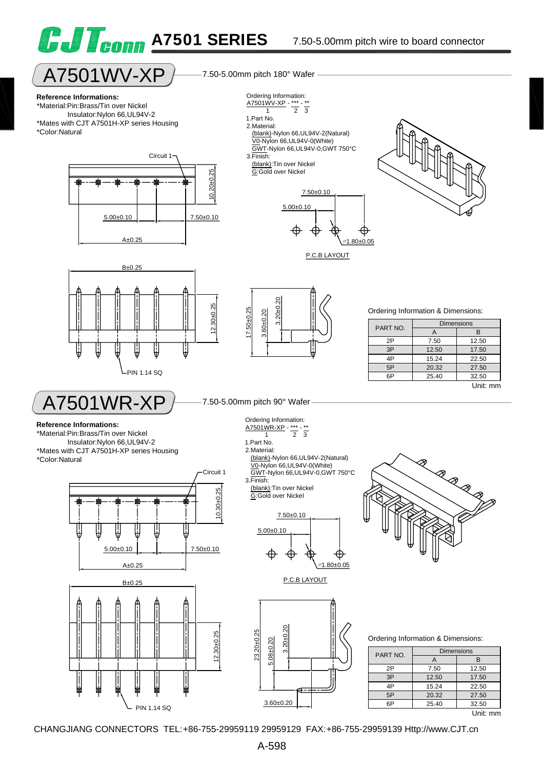

## $A7501$  WV - $XP$   $\rightarrow$  7.50-5.00mm pitch 180° Wafer

#### **Reference Informations:**

\*Material:Pin:Brass/Tin over Nickel Insulator:Nylon 66,UL94V-2 \*Mates with CJT A7501H-XP series Housing \*Color:Natural





Ordering Information:



P.C.B LAYOUT







€

Ordering Information & Dimensions:

| PART NO. | <b>Dimensions</b> |          |
|----------|-------------------|----------|
|          | А                 | в        |
| 2P       | 7.50              | 12.50    |
| 3P       | 12.50             | 17.50    |
| 4P       | 15.24             | 22.50    |
| 5P       | 20.32             | 27.50    |
| 6P       | 25.40             | 32.50    |
|          |                   | Unit: mm |

A7501WR-XP

#### **Reference Informations:**

\*Material:Pin:Brass/Tin over Nickel Insulator:Nylon 66,UL94V-2 \*Mates with CJT A7501H-XP series Housing

\*Color:Natural





7.50-5.00mm pitch 90° Wafer

Ordering Information: A7501WR-XP - \*\*\*  $\frac{1}{2}$   $\frac{1}{3}$ 

- 1.Part No.
- 2.Material: (blank)-Nylon 66,UL94V-2(Natural) V0-Nylon 66,UL94V-0(White)
- GWT-Nylon 66,UL94V-0,GWT 750°C 3.Finish:
- (blank):Tin over Nickel G:Gold over Nickel

$$
\begin{array}{c}\n 7.50 \pm 0.10 \\
\hline\n 5.00 \pm 0.10 \\
\hline\n \end{array}
$$

P.C.B LAYOUT



Ordering Information & Dimensions:

| PART NO. | <b>Dimensions</b> |       |
|----------|-------------------|-------|
|          | A                 | в     |
| 2P       | 7.50              | 12.50 |
| 3P       | 12.50             | 17.50 |
| 4P       | 15.24             | 22.50 |
| 5P       | 20.32             | 27.50 |
| 6P       | 25.40             | 32.50 |
|          |                   | t: mm |